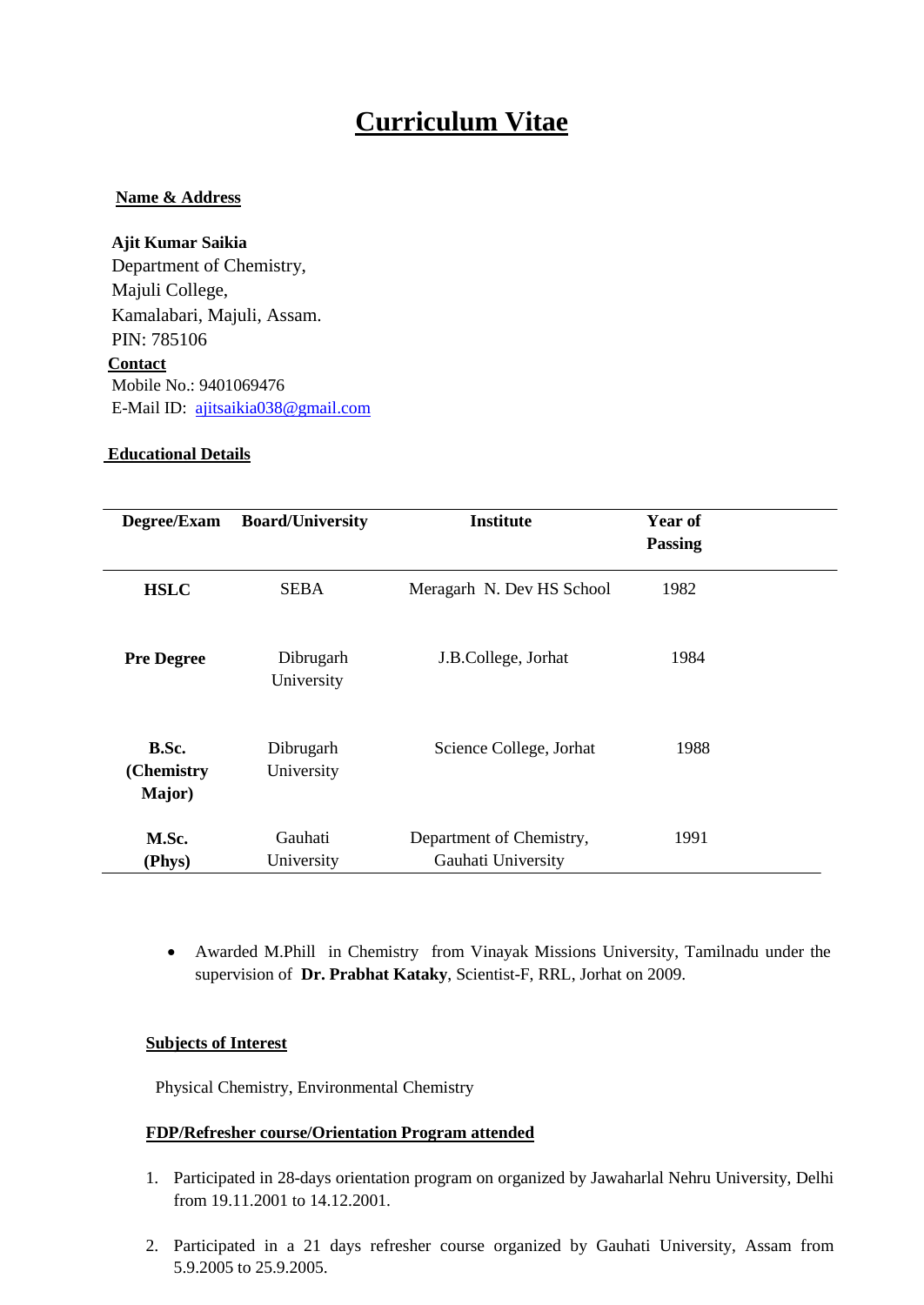# **Curriculum Vitae**

## **Name & Address**

**Ajit Kumar Saikia** Department of Chemistry, Majuli College, Kamalabari, Majuli, Assam. PIN: 785106 **Contact** Mobile No.: 9401069476 E-Mail ID: ajitsaikia038@gmail.com

### **Educational Details**

| Degree/Exam                   | <b>Board/University</b> | <b>Institute</b>                               | Year of<br><b>Passing</b> |  |
|-------------------------------|-------------------------|------------------------------------------------|---------------------------|--|
| <b>HSLC</b>                   | <b>SEBA</b>             | Meragarh N. Dev HS School                      | 1982                      |  |
| <b>Pre Degree</b>             | Dibrugarh<br>University | J.B.College, Jorhat                            | 1984                      |  |
| B.Sc.<br>(Chemistry<br>Major) | Dibrugarh<br>University | Science College, Jorhat                        | 1988                      |  |
| M.Sc.<br>(Phys)               | Gauhati<br>University   | Department of Chemistry,<br>Gauhati University | 1991                      |  |

 Awarded M.Phill in Chemistry from Vinayak Missions University, Tamilnadu under the supervision of **Dr. Prabhat Kataky**, Scientist-F, RRL, Jorhat on 2009.

## **Subjects of Interest**

Physical Chemistry, Environmental Chemistry

## **FDP/Refresher course/Orientation Program attended**

- 1. Participated in 28-days orientation program on organized by Jawaharlal Nehru University, Delhi from 19.11.2001 to 14.12.2001.
- 2. Participated in a 21 days refresher course organized by Gauhati University, Assam from 5.9.2005 to 25.9.2005.